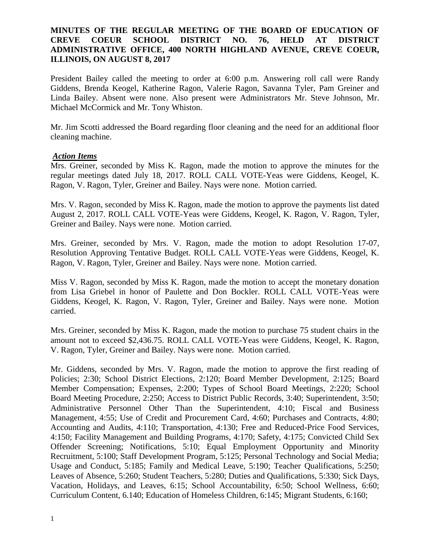# **MINUTES OF THE REGULAR MEETING OF THE BOARD OF EDUCATION OF CREVE COEUR SCHOOL DISTRICT NO. 76, HELD AT DISTRICT ADMINISTRATIVE OFFICE, 400 NORTH HIGHLAND AVENUE, CREVE COEUR, ILLINOIS, ON AUGUST 8, 2017**

President Bailey called the meeting to order at 6:00 p.m. Answering roll call were Randy Giddens, Brenda Keogel, Katherine Ragon, Valerie Ragon, Savanna Tyler, Pam Greiner and Linda Bailey. Absent were none. Also present were Administrators Mr. Steve Johnson, Mr. Michael McCormick and Mr. Tony Whiston.

Mr. Jim Scotti addressed the Board regarding floor cleaning and the need for an additional floor cleaning machine.

#### *Action Items*

Mrs. Greiner, seconded by Miss K. Ragon, made the motion to approve the minutes for the regular meetings dated July 18, 2017. ROLL CALL VOTE-Yeas were Giddens, Keogel, K. Ragon, V. Ragon, Tyler, Greiner and Bailey. Nays were none. Motion carried.

Mrs. V. Ragon, seconded by Miss K. Ragon, made the motion to approve the payments list dated August 2, 2017. ROLL CALL VOTE-Yeas were Giddens, Keogel, K. Ragon, V. Ragon, Tyler, Greiner and Bailey. Nays were none. Motion carried.

Mrs. Greiner, seconded by Mrs. V. Ragon, made the motion to adopt Resolution 17-07, Resolution Approving Tentative Budget. ROLL CALL VOTE-Yeas were Giddens, Keogel, K. Ragon, V. Ragon, Tyler, Greiner and Bailey. Nays were none. Motion carried.

Miss V. Ragon, seconded by Miss K. Ragon, made the motion to accept the monetary donation from Lisa Griebel in honor of Paulette and Don Bockler. ROLL CALL VOTE-Yeas were Giddens, Keogel, K. Ragon, V. Ragon, Tyler, Greiner and Bailey. Nays were none. Motion carried.

Mrs. Greiner, seconded by Miss K. Ragon, made the motion to purchase 75 student chairs in the amount not to exceed \$2,436.75. ROLL CALL VOTE-Yeas were Giddens, Keogel, K. Ragon, V. Ragon, Tyler, Greiner and Bailey. Nays were none. Motion carried.

Mr. Giddens, seconded by Mrs. V. Ragon, made the motion to approve the first reading of Policies; 2:30; School District Elections, 2:120; Board Member Development, 2:125; Board Member Compensation; Expenses, 2:200; Types of School Board Meetings, 2:220; School Board Meeting Procedure, 2:250; Access to District Public Records, 3:40; Superintendent, 3:50; Administrative Personnel Other Than the Superintendent, 4:10; Fiscal and Business Management, 4:55; Use of Credit and Procurement Card, 4:60; Purchases and Contracts, 4:80; Accounting and Audits, 4:110; Transportation, 4:130; Free and Reduced-Price Food Services, 4:150; Facility Management and Building Programs, 4:170; Safety, 4:175; Convicted Child Sex Offender Screening; Notifications, 5:10; Equal Employment Opportunity and Minority Recruitment, 5:100; Staff Development Program, 5:125; Personal Technology and Social Media; Usage and Conduct, 5:185; Family and Medical Leave, 5:190; Teacher Qualifications, 5:250; Leaves of Absence, 5:260; Student Teachers, 5:280; Duties and Qualifications, 5:330; Sick Days, Vacation, Holidays, and Leaves, 6:15; School Accountability, 6:50; School Wellness, 6:60; Curriculum Content, 6.140; Education of Homeless Children, 6:145; Migrant Students, 6:160;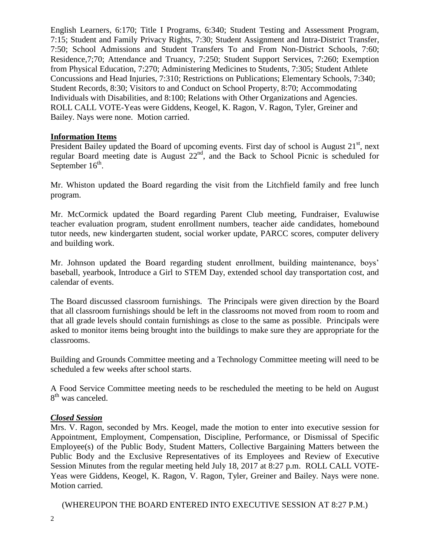English Learners, 6:170; Title I Programs, 6:340; Student Testing and Assessment Program, 7:15; Student and Family Privacy Rights, 7:30; Student Assignment and Intra-District Transfer, 7:50; School Admissions and Student Transfers To and From Non-District Schools, 7:60; Residence,7;70; Attendance and Truancy, 7:250; Student Support Services, 7:260; Exemption from Physical Education, 7:270; Administering Medicines to Students, 7:305; Student Athlete Concussions and Head Injuries, 7:310; Restrictions on Publications; Elementary Schools, 7:340; Student Records, 8:30; Visitors to and Conduct on School Property, 8:70; Accommodating Individuals with Disabilities, and 8:100; Relations with Other Organizations and Agencies. ROLL CALL VOTE-Yeas were Giddens, Keogel, K. Ragon, V. Ragon, Tyler, Greiner and Bailey. Nays were none. Motion carried.

## **Information Items**

President Bailey updated the Board of upcoming events. First day of school is August 21<sup>st</sup>, next regular Board meeting date is August 22nd, and the Back to School Picnic is scheduled for September  $16^{\text{th}}$ .

Mr. Whiston updated the Board regarding the visit from the Litchfield family and free lunch program.

Mr. McCormick updated the Board regarding Parent Club meeting, Fundraiser, Evaluwise teacher evaluation program, student enrollment numbers, teacher aide candidates, homebound tutor needs, new kindergarten student, social worker update, PARCC scores, computer delivery and building work.

Mr. Johnson updated the Board regarding student enrollment, building maintenance, boys' baseball, yearbook, Introduce a Girl to STEM Day, extended school day transportation cost, and calendar of events.

The Board discussed classroom furnishings. The Principals were given direction by the Board that all classroom furnishings should be left in the classrooms not moved from room to room and that all grade levels should contain furnishings as close to the same as possible. Principals were asked to monitor items being brought into the buildings to make sure they are appropriate for the classrooms.

Building and Grounds Committee meeting and a Technology Committee meeting will need to be scheduled a few weeks after school starts.

A Food Service Committee meeting needs to be rescheduled the meeting to be held on August 8<sup>th</sup> was canceled.

## *Closed Session*

Mrs. V. Ragon, seconded by Mrs. Keogel, made the motion to enter into executive session for Appointment, Employment, Compensation, Discipline, Performance, or Dismissal of Specific Employee(s) of the Public Body, Student Matters, Collective Bargaining Matters between the Public Body and the Exclusive Representatives of its Employees and Review of Executive Session Minutes from the regular meeting held July 18, 2017 at 8:27 p.m. ROLL CALL VOTE-Yeas were Giddens, Keogel, K. Ragon, V. Ragon, Tyler, Greiner and Bailey. Nays were none. Motion carried.

(WHEREUPON THE BOARD ENTERED INTO EXECUTIVE SESSION AT 8:27 P.M.)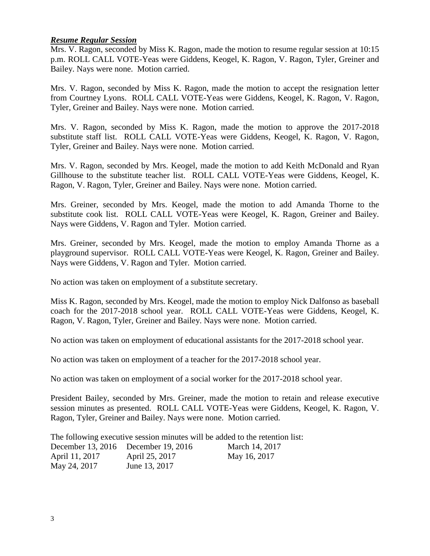## *Resume Regular Session*

Mrs. V. Ragon, seconded by Miss K. Ragon, made the motion to resume regular session at 10:15 p.m. ROLL CALL VOTE-Yeas were Giddens, Keogel, K. Ragon, V. Ragon, Tyler, Greiner and Bailey. Nays were none. Motion carried.

Mrs. V. Ragon, seconded by Miss K. Ragon, made the motion to accept the resignation letter from Courtney Lyons. ROLL CALL VOTE-Yeas were Giddens, Keogel, K. Ragon, V. Ragon, Tyler, Greiner and Bailey. Nays were none. Motion carried.

Mrs. V. Ragon, seconded by Miss K. Ragon, made the motion to approve the 2017-2018 substitute staff list. ROLL CALL VOTE-Yeas were Giddens, Keogel, K. Ragon, V. Ragon, Tyler, Greiner and Bailey. Nays were none. Motion carried.

Mrs. V. Ragon, seconded by Mrs. Keogel, made the motion to add Keith McDonald and Ryan Gillhouse to the substitute teacher list. ROLL CALL VOTE-Yeas were Giddens, Keogel, K. Ragon, V. Ragon, Tyler, Greiner and Bailey. Nays were none. Motion carried.

Mrs. Greiner, seconded by Mrs. Keogel, made the motion to add Amanda Thorne to the substitute cook list. ROLL CALL VOTE-Yeas were Keogel, K. Ragon, Greiner and Bailey. Nays were Giddens, V. Ragon and Tyler. Motion carried.

Mrs. Greiner, seconded by Mrs. Keogel, made the motion to employ Amanda Thorne as a playground supervisor. ROLL CALL VOTE-Yeas were Keogel, K. Ragon, Greiner and Bailey. Nays were Giddens, V. Ragon and Tyler. Motion carried.

No action was taken on employment of a substitute secretary.

Miss K. Ragon, seconded by Mrs. Keogel, made the motion to employ Nick Dalfonso as baseball coach for the 2017-2018 school year. ROLL CALL VOTE-Yeas were Giddens, Keogel, K. Ragon, V. Ragon, Tyler, Greiner and Bailey. Nays were none. Motion carried.

No action was taken on employment of educational assistants for the 2017-2018 school year.

No action was taken on employment of a teacher for the 2017-2018 school year.

No action was taken on employment of a social worker for the 2017-2018 school year.

President Bailey, seconded by Mrs. Greiner, made the motion to retain and release executive session minutes as presented. ROLL CALL VOTE-Yeas were Giddens, Keogel, K. Ragon, V. Ragon, Tyler, Greiner and Bailey. Nays were none. Motion carried.

The following executive session minutes will be added to the retention list: December 13, 2016 December 19, 2016 March 14, 2017 April 11, 2017 **April 25, 2017** May 16, 2017 May 24, 2017 June 13, 2017